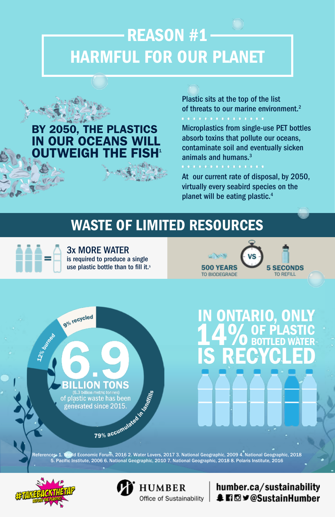# REASON #1 HARMFUL FOR OUR PLANET

### BY 2050, THE PLASTICS IN OUR OCEANS WILL VEIGH THE

Plastic sits at the top of the list of threats to our marine environment.<sup>2</sup>

3x MORE WATER is required to produce a single use plastic bottle than to fill it.<sup>5</sup>





Microplastics from single-use PET bottles absorb toxins that pollute our oceans, contaminate soil and eventually sicken animals and humans.3

At our current rate of disposal, by 2050, virtually every seabird species on the planet will be eating plastic.4

## WASTE OF LIMITED RESOURCES

IN ONTARIO, ONLY 14% OF PLASTIC IS RECY BOTTLED **CLED** WATER

ON References: 1. World Economic Forum, 2016 2. Water Lovers, 2017 3. National Geographic, 2009 4. National Geographic, 2018 (6.3 billion metric tonnes) of plastic waste has been generated since 2015.

5. Pacific Institute, 2006 6. National Geographic, 2010 7. National Geographic, 2018 8. Polaris Institute, 2016





#### humber.ca/sustainability **↓日回ソ@SustainHumber**